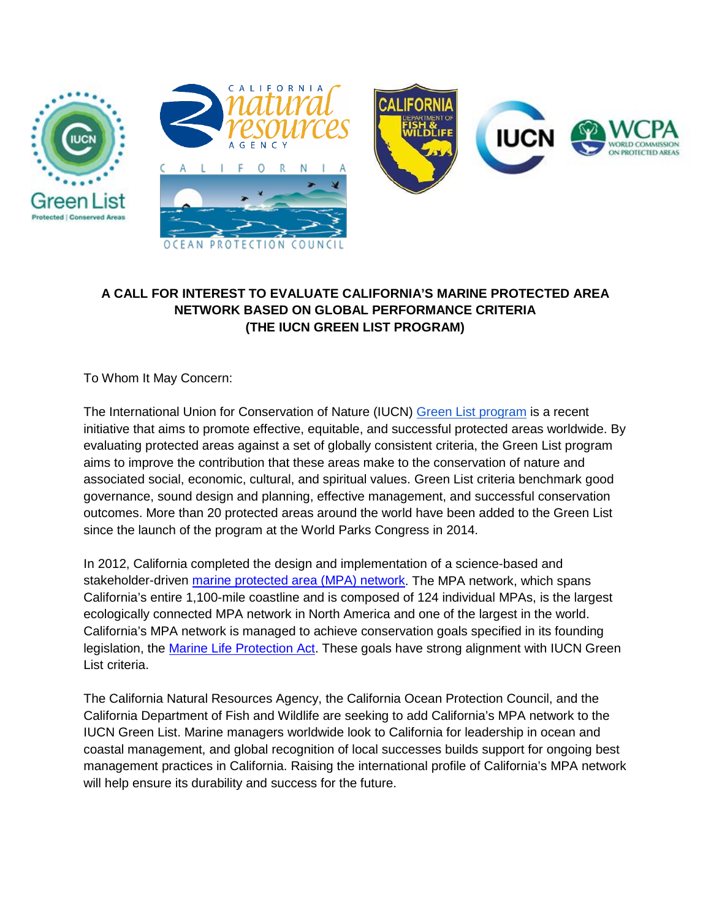





## **A CALL FOR INTEREST TO EVALUATE CALIFORNIA'S MARINE PROTECTED AREA NETWORK BASED ON GLOBAL PERFORMANCE CRITERIA (THE IUCN GREEN LIST PROGRAM)**

To Whom It May Concern:

The International Union for Conservation of Nature (IUCN) [Green List program](https://www.iucn.org/theme/protected-areas/our-work/iucn-green-list) is a recent initiative that aims to promote effective, equitable, and successful protected areas worldwide. By evaluating protected areas against a set of globally consistent criteria, the Green List program aims to improve the contribution that these areas make to the conservation of nature and associated social, economic, cultural, and spiritual values. Green List criteria benchmark good governance, sound design and planning, effective management, and successful conservation outcomes. More than 20 protected areas around the world have been added to the Green List since the launch of the program at the World Parks Congress in 2014.

In 2012, California completed the design and implementation of a science-based and stakeholder-driven [marine protected area \(MPA\) network.](https://www.wildlife.ca.gov/Conservation/Marine/MPAs) The MPA network, which spans California's entire 1,100-mile coastline and is composed of 124 individual MPAs, is the largest ecologically connected MPA network in North America and one of the largest in the world. California's MPA network is managed to achieve conservation goals specified in its founding legislation, the [Marine Life Protection Act.](https://www.wildlife.ca.gov/Conservation/Marine/MPAs/MLPA) These goals have strong alignment with IUCN Green List criteria.

The California Natural Resources Agency, the California Ocean Protection Council, and the California Department of Fish and Wildlife are seeking to add California's MPA network to the IUCN Green List. Marine managers worldwide look to California for leadership in ocean and coastal management, and global recognition of local successes builds support for ongoing best management practices in California. Raising the international profile of California's MPA network will help ensure its durability and success for the future.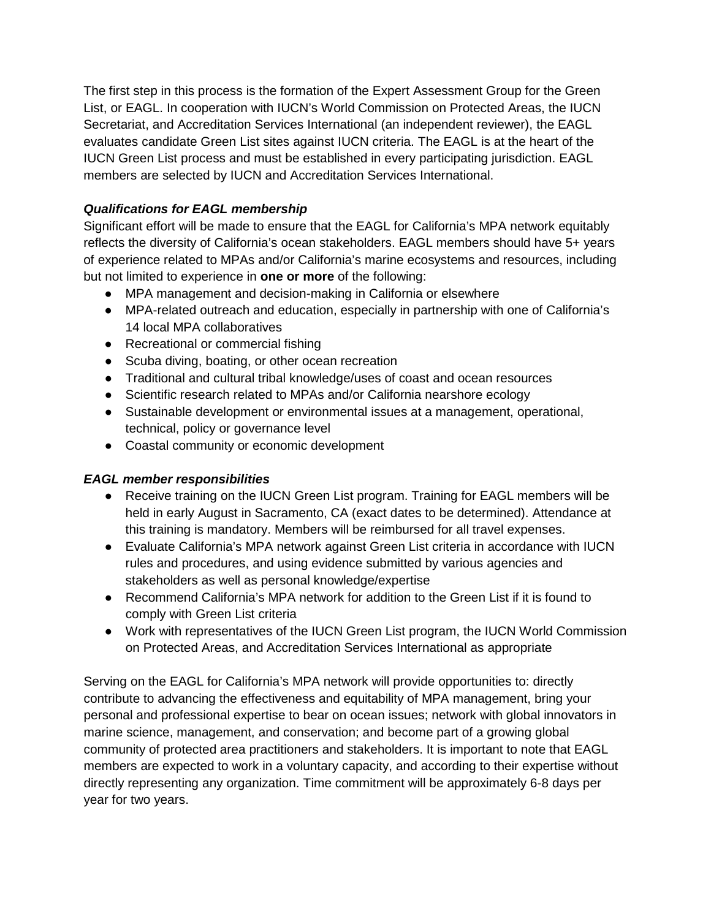The first step in this process is the formation of the Expert Assessment Group for the Green List, or EAGL. In cooperation with IUCN's World Commission on Protected Areas, the IUCN Secretariat, and Accreditation Services International (an independent reviewer), the EAGL evaluates candidate Green List sites against IUCN criteria. The EAGL is at the heart of the IUCN Green List process and must be established in every participating jurisdiction. EAGL members are selected by IUCN and Accreditation Services International.

## *Qualifications for EAGL membership*

Significant effort will be made to ensure that the EAGL for California's MPA network equitably reflects the diversity of California's ocean stakeholders. EAGL members should have 5+ years of experience related to MPAs and/or California's marine ecosystems and resources, including but not limited to experience in **one or more** of the following:

- MPA management and decision-making in California or elsewhere
- MPA-related outreach and education, especially in partnership with one of California's 14 local MPA collaboratives
- Recreational or commercial fishing
- Scuba diving, boating, or other ocean recreation
- Traditional and cultural tribal knowledge/uses of coast and ocean resources
- Scientific research related to MPAs and/or California nearshore ecology
- Sustainable development or environmental issues at a management, operational, technical, policy or governance level
- Coastal community or economic development

## *EAGL member responsibilities*

- Receive training on the IUCN Green List program. Training for EAGL members will be held in early August in Sacramento, CA (exact dates to be determined). Attendance at this training is mandatory. Members will be reimbursed for all travel expenses.
- Evaluate California's MPA network against Green List criteria in accordance with IUCN rules and procedures, and using evidence submitted by various agencies and stakeholders as well as personal knowledge/expertise
- Recommend California's MPA network for addition to the Green List if it is found to comply with Green List criteria
- Work with representatives of the IUCN Green List program, the IUCN World Commission on Protected Areas, and Accreditation Services International as appropriate

Serving on the EAGL for California's MPA network will provide opportunities to: directly contribute to advancing the effectiveness and equitability of MPA management, bring your personal and professional expertise to bear on ocean issues; network with global innovators in marine science, management, and conservation; and become part of a growing global community of protected area practitioners and stakeholders. It is important to note that EAGL members are expected to work in a voluntary capacity, and according to their expertise without directly representing any organization. Time commitment will be approximately 6-8 days per year for two years.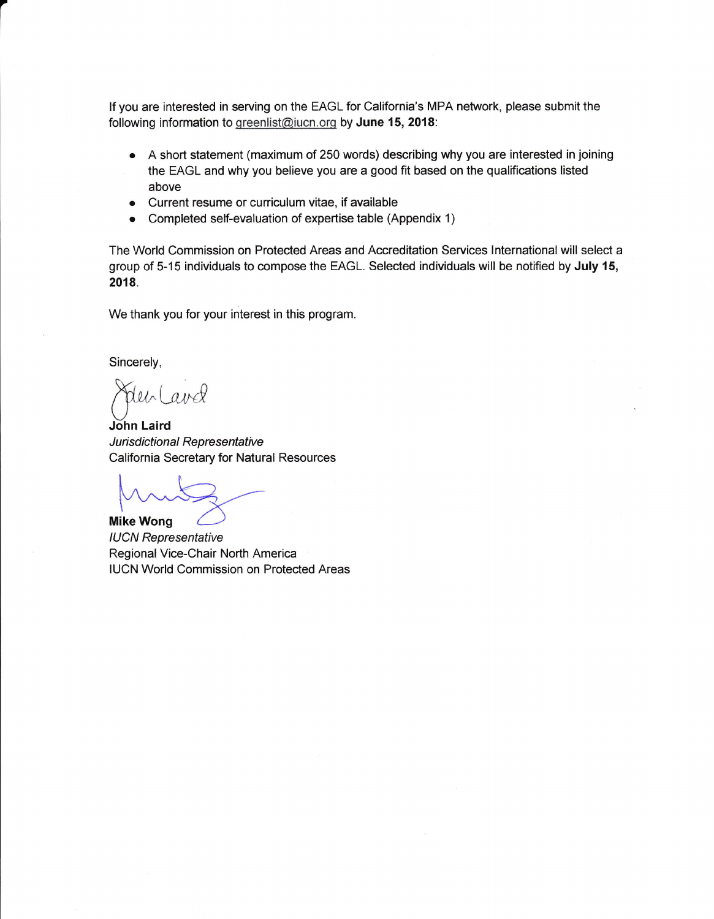lf you are interested in serving on the EAGL for California's MPA network, please submit the following information to greenlist@iucn.org by June 15, 2018:

- A short statement (maximum of 250 words) describing why you are interested in joining the EAGL and why you believe you are a good fit based on the qualifications listed above
- o Current resume or cuniculum vitae, if available
- Completed self-evaluation of expertise table (Appendix 1)

The World Commission on Protected Areas and Accreditation Services Internationalwill select a group of 5-15 individuals to compose the EAGL. Selected individuals will be notified by July 15, 2018.

We thank you for your interest in this program.

Sincerely,

a

Jehland

John Laird Jurisdictional Representative California Secretary for Natural Resources

**Mike Wong** IUCN Representative Regional Vice-Chair North America IUCN World Commission on Protected Areas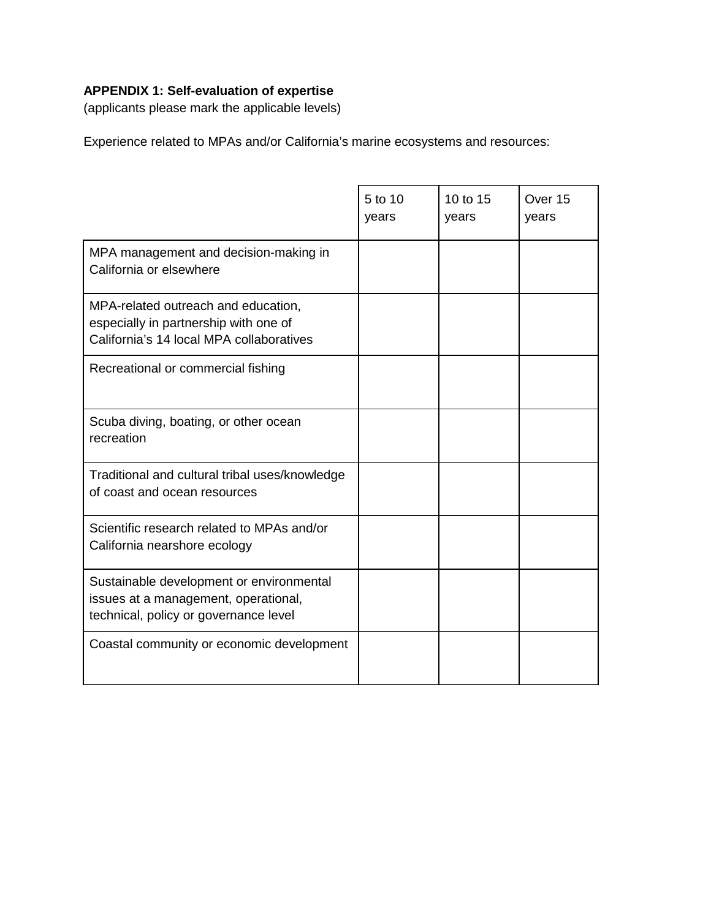## **APPENDIX 1: Self-evaluation of expertise**

(applicants please mark the applicable levels)

Experience related to MPAs and/or California's marine ecosystems and resources:

|                                                                                                                           | 5 to 10<br>years | 10 to 15<br>years | Over 15<br>years |
|---------------------------------------------------------------------------------------------------------------------------|------------------|-------------------|------------------|
| MPA management and decision-making in<br>California or elsewhere                                                          |                  |                   |                  |
| MPA-related outreach and education,<br>especially in partnership with one of<br>California's 14 local MPA collaboratives  |                  |                   |                  |
| Recreational or commercial fishing                                                                                        |                  |                   |                  |
| Scuba diving, boating, or other ocean<br>recreation                                                                       |                  |                   |                  |
| Traditional and cultural tribal uses/knowledge<br>of coast and ocean resources                                            |                  |                   |                  |
| Scientific research related to MPAs and/or<br>California nearshore ecology                                                |                  |                   |                  |
| Sustainable development or environmental<br>issues at a management, operational,<br>technical, policy or governance level |                  |                   |                  |
| Coastal community or economic development                                                                                 |                  |                   |                  |